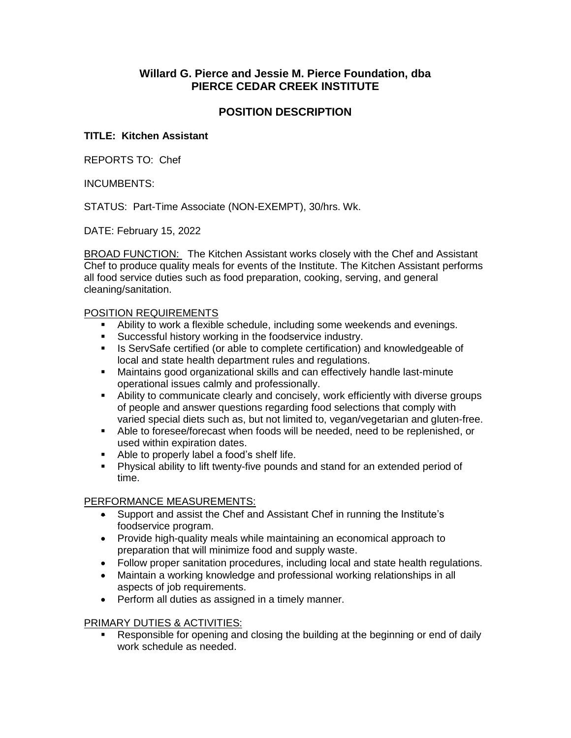# **Willard G. Pierce and Jessie M. Pierce Foundation, dba PIERCE CEDAR CREEK INSTITUTE**

## **POSITION DESCRIPTION**

### **TITLE: Kitchen Assistant**

REPORTS TO: Chef

#### INCUMBENTS:

STATUS: Part-Time Associate (NON-EXEMPT), 30/hrs. Wk.

DATE: February 15, 2022

BROAD FUNCTION: The Kitchen Assistant works closely with the Chef and Assistant Chef to produce quality meals for events of the Institute. The Kitchen Assistant performs all food service duties such as food preparation, cooking, serving, and general cleaning/sanitation.

#### POSITION REQUIREMENTS

- Ability to work a flexible schedule, including some weekends and evenings.
- **Successful history working in the foodservice industry.**
- **IS ServSafe certified (or able to complete certification) and knowledgeable of** local and state health department rules and regulations.
- Maintains good organizational skills and can effectively handle last-minute operational issues calmly and professionally.
- Ability to communicate clearly and concisely, work efficiently with diverse groups of people and answer questions regarding food selections that comply with varied special diets such as, but not limited to, vegan/vegetarian and gluten-free.
- Able to foresee/forecast when foods will be needed, need to be replenished, or used within expiration dates.
- Able to properly label a food's shelf life.
- Physical ability to lift twenty-five pounds and stand for an extended period of time.

## PERFORMANCE MEASUREMENTS:

- Support and assist the Chef and Assistant Chef in running the Institute's foodservice program.
- Provide high-quality meals while maintaining an economical approach to preparation that will minimize food and supply waste.
- Follow proper sanitation procedures, including local and state health regulations.
- Maintain a working knowledge and professional working relationships in all aspects of job requirements.
- Perform all duties as assigned in a timely manner.

## PRIMARY DUTIES & ACTIVITIES:

 Responsible for opening and closing the building at the beginning or end of daily work schedule as needed.